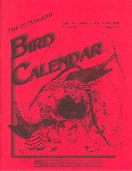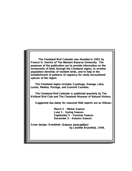**The Cleveland Bird Calendar was founded in 1905 by Francis H. Herrick of The Western Reserve University. The purposes of the publication are to provide information on the movements of birds through the Cleveland region, to monitor population densities of resident birds, and to help in the establishment of patterns of vagrancy for rarely encountered species of the region.** 

**The Cleveland region includes Cuyahoga, Geauga, Lake, Lorain, Medina, Portage, and Summit Counties.** 

**The Cleveland Bird Calendar is published quarterly by The Kirtland Bird Club and The Cleveland Museum of Natural History.** 

**Suggested due dates for seasonal field reports are as follows:** 

**March 5 - Winter Season June 5 - Spring Season September 5 - Summer Season December 5 - Autumn Season** 

**Cover design: Ovenbirds (Seiurus aurocapillus) by Jennifer Brumfield, 1998.**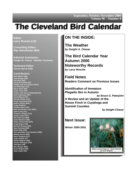**September, October, November 2000 Volume 96 Number 4**

# **The Cleveland Bird Calendar The Cleveland Bird Calendar**

**Editor: Larry Rosche (LR)**

**Consulting Editor: Ray Hannikman (RH)**

**Editorial Assistants: Dwight W. Chasar - Weather Summary**

**Technical Editor Garnet Byrne (GB)**

#### **Contributors:**

**Nick Barber (NB) Jane Berger (JB) Dan Best (DB) Jenny Brumfield (JB) Dwight and Ann Chasar (DAC) Leo Deininger (LD) Elinor Elder (EE) Victor Fazio (VF) Anders and Joyce Fjeldstad(AJF) Bob Finkelstein (BF) Ted Gilliland (TG) Christa Glatter (CG) Frank Greenland (FG) Robert Harlan (RHL) Craig Holt(CH) Charles Klaus (CK) Bob and Denise Lane (BDL) Gabe Leidy (GL) Thomas LePage (TLP) Paula Lozano (PL) Ben Morrison (BM) Jared Mizanin (JM)) Haans Petruschke (HP) Craig Rieker (CR) Richard Rickard (RR) Mary Reinthal (MR) Drew Rolik (DR) Tom and Mary Anne Romito (TMR) Woody Stover (WS) Karin Tanquist (KT) Judy Tisdale (JT) Sandy Wagner (SW) Vernon Weingart (VW) Jeff Wert (JW) Ben Winger (BW) Scott Wright (SW) Sean Zadar (SZ)**

# **ON THE INSIDE:**

**[The Weather](#page-3-0) by Dwight A. Chasar**

**[The Bird Calendar Year](#page-3-0) Autumn 2000 [Noteworthy Records](#page-11-0) by Larry Rosche**

**Field Notes [Readers Comment on Previous Issues](#page-14-0)** 

**[Identification of Immature](#page-14-0)  Plegadis Ibis in Autumn by Bruce G. Peterjohn A Review and an Update of the [House Finch in Cuyahoga and](#page-16-0)  Summit Counties**

**by Dwight Chasar**

# **Next Issue:**

**Winter 2000-2001**



**White-crowned Sparrow - North Olmsted by Scott Wright©**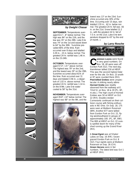<span id="page-3-0"></span>



#### **by Dwight Chasar**

**SEPTEMBER**: Temperatures averaged 63.1°, .8° below normal. The high was 84° on the 11th, and the low was 35° on the 29th. Lake Erie was 74° on the 1st and eased down to 64° by the 30th. Sunshine prevailed 66% of the time. Rain occurred over 8 days and totalled 3.29 in., .15 in. below normal. The greatest 24 hr. rainfall was 1.46 in. on the 23-24th.

**OCTOBER:** Temperatures averaged 57.4°, 1.9 ° above normal. The highest was 79° on the 2nd, and the lowest was 29° on the 29th. Sunshine occurred about 61% of the time. Rain occurred over 11 days and totaled 3.56 in., a departure of 1.02 in. above normal. The greatest 24 hr. rainfall was 1.14 in. on the 8-9th. Lake Erie water cooled to 58° by the 31st.

**NOVEMBER:** Temperatures averaged 39.8°, 2.8° below normal. The highest was 66° on the 9th, and the



lowest was 13° on the 23rd. Sunshine occurred only 30% of the time. Occurring over 15 days, rain totalled 2.55 in., .62 in. below normal. The greatest 24 hr. fall was .56 in. on the 21st. Snow totalled 11.2 in., with the greatest 24 hr. fall of 7.5 in. on the 21st. Lake Erie temperature dropped to 43° by the end of month.

#### **by Larry Rosche**



**Common Loons** were found<br>
in very good numbers. On<br>
Gordon Park (SZ). The next day, in very good numbers. On Nov. 18, 40 were seen off Hannikman tallied 216 at HBSP. This was the second highest total ever for the site. On Nov. 23 another 87 were counted there (RH). **Pied-billed Grebes** were unspectacular. A striking nearly albino **Horned Grebe** was readily observed from the walkway at E. 72nd St. on Nov. 18 & 19 (PL, BF, m.obs.). The high count of Horned Grebes was 50 at HBSP on Oct. 22 (RH). Double-crested Cormorants continued on their collision course with fishing enthusiasts in NE Ohio. On Sep. 18, 175 were seen at Walborn Reservoir (BM). Another 677 were tallied from Gordon Park on Oct. 22, flying west/southwest in groups of approximately 100. (PL, BF, BW). The 800 at HBSP on Oct. 22 surely spelled doom for many of the shad running up the Grand River (RH).

A **Great Egret** was at Shaker Lakes on Sep. 16 (RR). Seven graced Gordon Park on Oct. 8 (SZ). Four egrets were at Walborn Reservoir on Sep. 26 (CH). **Green Herons** were in fair numbers. The latest bird was Oct 1 at HBSP (RH).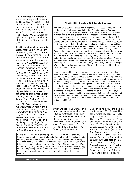#### **Black-crowned Night-Herons**

were seen in expected numbers at traditional sites. A lingerer at HBSP on Nov. 5 provided a birthday surprise for the observer (RH). On Nov. 20, 6 were at the Lakeside Yacht CLub on North Marginal (TLP). **Turkey Vultures** were conspicuous along the lake. The 100 at HBSP on Sep. 16 was typical (RH).

The Hudson Bay migrant **Canada Geese** returned to North Chagrin on Sep. 15 (KM). The first **Tundra Swans** (10) were noted on Oct. 28 at Gordon Park (SZ). On Nov. 4, 62 were counted from the same site (SZ, TG, BW). Another 150± were over Mentor and 50 more over Concord Township the same day (fide DB). Lake Pippen hosted 180 on Nov. 11 (LR, VW). A total of 52 was counted at HBSP the same day (RH). LaDue held 42 on Nov. 5 (RR). On Nov. 22 a group of 22 was seen over Munson Township (KM). On Nov. 6, 93 **Wood Ducks** produced what may have been the highest daily count ever seen on the ponds at North Chagrin Nature Center (KM). The 125 woodies at Tinker's Creek SNP on Sep. 21 reflected an outstanding breeding year (GB, CG). **Gadwall** and **American Wigeon** were found in small numbers. The high count for Gadwall was 44 in Akron on Nov. 22 (CH). The passage of **Bluewinged Teal** through the region has become somewhat of a mystery lately. Any sightings of this species should be reported. The 20 **Northern Shovelers** in Akron on Nov. 22 was good news (CH).

#### **The 1999-2000 Cleveland Bird Calendar Summary**

The Bird Calendar year ended with a respectable 277 species reported. I cannot thank the people who report to the Bird Calendar enough. Our reporters are among the most respected birders in North America; as editor, I am most fortunate not to have to question very many reports. I receive many fine seasonal summaries. Some are e-mailed, some are printed out neatly on a PC, and some are handwritten on paper. All are in taxonomic order of one kind or another and are greatly appreciated. Hannikman's studies at Headlands Beach border on the remarkable. Tom LePage continues to find exceptional sightings in his daily field work. Bill Klamm would be very happy to see how Sean Zadar continues his and Nancy's efforts at Gordon Park. As we all know, Gordon Park is a tremendous migrant trap, but it takes considerable effort to hack your way around the overgrown vegetation. Several fairly regular, but rare, species failed to make the list. These include Snowy Egret, Little BLue Heron, King Eider, Northern Goshawk, Hudsonian Godwit, Long-billed Dowitcher, Wilson's and Red-necked Phalaropes, Parasitic Jaeger, California Gull, Sabine's Gull, Black-legged Kittiwake, Whip-poor-will (2nd year in a row), and Golden-winged Warbler. If anyone knows of a report of these or if I have omitted them by accident, please let me know.

I am sure some of these will be published elsewhere because of the relative ease birders now have in posting to the Internet. Indeed, some of our former contributors no longer make seasonal summaries and leave both reporting and editing to editors. I feel the observers have the ownership of the bird report. As an editor, I simply try to bring out what readers want to see in this venerable journal. If I were a wizard with a spiffy pewter caldron that I could dump all the posts to OhioBIrds Listserv and to the various local websites into for sorting in taxonomic order, I would. My work and family obligations take up too much of my time to sift through the many daily reports put on the web. Of course, I do wonder what my caldron would do with messages that include Snowy Owl and Broad-winged Hawk in the same sentence. Not to mention those by innocent observers who apparently have yet to read of local occurrence patterns. Best of birds in 2001! *LR*

**Green-winged Teals** were seen in lower than expected numbers. As is typical for October, small numbers of **Canvasbacks** were seen at several inland reservoirs. **Redheads** were very scarce. One was at Shaker Lakes on Oct. 13 (GL) and Nov. 3 & 12 (LD). The former gravel pit lakes in

Naturalist Duane Ferris related to reporter Dan Best this observation of 3 Common Loons and a Horned Grebe at LaDue on Nov. 19. "Three loons and a horned grebe were congregated in a small eye of open water on the mostly froze-over reservoir. Two loons dove while one remained on the surface. Small fish, panicked by pursuit, were breaking the surface. The loon that stayed 'up top' was 'going crazy,' grabbing fish left and right. Cooperative hunting strategy or intelligently taking advantage of other's efforts? The grebe was diving and feeding, but any involvement or association with the loon feeding frenzy is uncertain."

Shalersville held 940 **Ring-necked Ducks** on Oct. 20 (LR, VW). The count for the traditional Best Lake staging site was 157 on Nov. 4 (DB). The 225 at Wellington on Nov. 26 was exceptionally good for such a late date (FG). The highest count of **Lesser Scaup** was 200 at Berlin Reservoir on Nov. 21 (BDL). Two **Surf Scoters** were off Cahoon Park on Nov. 17 (TLP). Four were seen at Rocky River Park on Nov. 19 (CH). Two were seen at HBSP on Oct. 22 & Oct. 31 (RH). Two **Black Scoters** were off Sims Park on Nov. 16-19 (TLP, RR). Black Scoters were seen on 5 days at HBSP and totalled 11 birds (RH,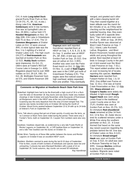CH). A male **Long-tailed Duck** graced Rocky River Park on Nov. 13-19 (TG, PL, BF, SZ, m.obs.). Along Lake Erie, **American Goldeneyes** were in low numbers. One was at Springfield Lake on Nov. 29 (BDL). LaDue held 173 **Hooded Mergansers** on Nov. 18 (fide (DB). Elm Lake in Streetsboro held 75 on Nov. 17 (CH). The 13 **Common Mergansers** at Shaker Lakes on Oct. 13 were unusual (RR). A more typical date was the Nov. 1 & 2 sighting of a bird at Shaker Lakes (LD). The high count (24,277) of **Red-breasteds** was reached at Gordon Park on Nov. 12 (SZ). **Ruddy Duck** numbers were impressive. On Oct. 21, (300+) were at Fowler's Mill Golf Course Lake in Geauga Co. (KM). Mogadore played host to over 3000 ruddies on Oct. 29 (LR, VW). On Oct. 28, Wellington Reservoir hosted 575, and Oberlin Reservoir 200 (RHL).



**Ospreys** were well reported. Hannikman reported them at HBSP on Sep. 1, 4, 8, 9, 23, & 30. On Sep. 3, another was at HBSP (PL, BF, BW). A bird was over Gordon Park on Sep. 25 (SZ). One was at LaDue on Oct. 3 (RR). Another was seen over the Pekin Road marsh on Oct. 11 (fide DB). On Nov. 11, a pair of **Bald Eagles** was seen in the CVNP just north of Greenhaven Parkway (CR). "The eagles were first noticed soaring high overhead, widely separated from one another. They eventually

#### **Comments on Migration at Headlands Beach State Park Area**

- Waterfowl: Highlight here had to be the Brant,with a high count of 16 in a flock over the lake on November 18. Bay ducks and sea ducks made very modest showings in late October and early November, while thousands of Red-breasted Mergansers were in the HBSP area at the very end of November. Surprising was the early departure from the area of Green-winged Teal. The species was barely recorded (only on October 28) during the month of October. Wood Ducks peaked between September 23 & 24 with up to 24 birds at Veteran's Park on September 24.
- Terns: Talk about a group that got out of town quickly--it surely was the terns, as no Common or Black Terns were noted during the period. There were only 2 Forster's Terns--both on September 15. Caspian Tern numbers were also very low.
- Swallows: Swallows stayed late, as evidenced by a very late Purple Martin at Mentor Lagoons on September 26., a Cliff Swallow there on September 14, and a late Tree Swallow over the dunes on October 31.
- Winter Wren: Twenty-six of these little sprites between the dunes and Mentor Lagoons on October 8 was an excellent HBSP count.
- Warblers: Warblers seemed to peak during the last 8-10 days of September. Prior to then, counts of both numbers of individuals and species were low and uninspiring. Curiously low were Blackpoll Warblers with a peak of 22 on September 30. Some autumns, day counts can exceed 50 individuals. *Ray Hannikman*

They then soared together at a lower altitude over the marsh for ten minutes or so, as if they were checking out the neighborhood for potential housing. Alas, they eventually sailed off in opposite directions." Two more were seen over SR-2 at E. 305th on Sep. 29 (RH). Another flyover was observed at West Creek Preserve on Sep. 7 (GL). Inland, Lake Rockwell, LaDue, Mogadore , and West Branch Reservoirs hosted several adults and young throughout the period. Best reported at least 10 birds in Geauga County in the period. A bird soared over the West Creek Preserve on Sep. 7 (GL). This report added another site to an ever increasing list of locales reporting this species. **Northern Harriers** were reported from Fairport Harbor on Sep. 1 & 10 (RH). One drifted over Parma on Sep. 11 (GL). One was at Swine Creek Reservation on Nov. 12 (fide DB). **Sharp-shinned** and **Cooper's Hawks** were widely distributed. A light-morph **Roughlegged Hawk** was seen along Jones Road in the traditional Lorain County area on Nov. 14 (TLP). Another was seen at Gordon Park on Nov. 25 (TG, SZ). An immature **Red-shouldered Hawk** remained at Dike 14 from Oct. 13 to Nov. 18. Zadar discovered its scattered remains under a White Pine along the southern perimeter on Nov. 23. A Great Horned Owl heard on the same day raised suspicion regarding the predator behind the kill. One was at Shaker Lakes on Nov. 6 (LD). An immature **Broad-winged Hawk** was seen at Gordon Park on Sep. 6 (SZ). An adult was seen in Munson Township on Sep. 8 (KM). Geauga **Merlins** continue to be found in remarkable numbers. Migrants were noted

merged, and greeted each other with a talon-clasping barrel roll.

at Gordon Park on Sep.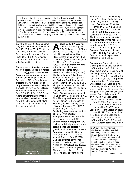I made a specific effort to get a handle on the American Crow flock here in Shaker. There have been evenings when the roost movement passes over the Van Aken shopping center---a wide expanse allowing for a view of the broad flight. My best count was just shy of 6000 birds. As a portion of the flight originates from further to the south heading over the Lee/Chagrin Blvd shopping district, I'd be confident in rounding that off to 6000. This peak took place just before the mid-November cold snap--around Nov. 8-10 . I have not expressly counted since, but numbers of foraging birds on lawns appeared to have halved 10 days later.

*Vic Fazio*

16, 24, Oct. 10, 13, 29, and Nov.4 (SZ). Birds were noted at HBSP on Sep. 16, 22, Nov. 11, & 26 (RH). A Merlin was at Shaker Lakes on Oct. 13 (GL). A bird was in Rocky River Nov. 18 (SZ). Kent hosted one on Sep. 16 (GB, LR). One was at LaDue on Oct. 3 (RR).

The only report of **Ruffed Grouse** was of a deceased bird in Chardon on Oct. 9 (fide DB). Any **Northern Bobwhite** is noteworthy, but also of questionable origin. A bird in Rocky River MP on Sep. 26 was interesting (CR). A twosome of **Virginia Rails** was heard calling in the CVNP on Nov. 12 (CR). **Soras** were found at Gordon Park on Sep. 9, 20, 23, & Oct. 17 (SZ). No reports of **Common Moorhens** were received. **American Coots** were typically abundant at inland lakes and fairly numerous along the shores of Lake Erie.



**ABlack-bellied Plover** was<br>at Sims Park on Sep. 21<br>Sep. 1, 15 (2), 23 (5), 25, & Oct. 7 at Sims Park on Sep. 21 (TK). Birds graced HBSP on (RH, TK). **American Golden-Plovers** were found only at HBSP on Sep. 17 (2) (RH, BW), 23 (6), & 30 (RH). On Sep. 5, Morrison noted 22 **Semipalmated Plovers** at Berlin. Up to 2 **Greater Yellowlegs** lingered at West Branch SP until Oct. 29 (LR, VW). The latest **Lesser Yellowlegs** were at LaDue on Oct. 3 (RR). A late **Solitary Sandpiper** was at Berlin Reservoir on Oct. 21 (BDL). Sharp ears detected a nocturnal migrant over Wadsworth the same day (RHL, SW). Small numbers of **Ruddy Turnstones** were seen at HBSP in early September (RH, GL, RR). The only **Red Knot** reported was at Fairport Harbor Beach on Sep. 15 (LR, RH). The high count of **Sanderlings** was 60 at HBSP on Sep. 25 (TK). The last Sanderling seen there was on Nov. 11 (RH). Three **Western Sandpipers** were seen at Berlin Reservoir on Oct. 15 (BDL). **Semipalmated Sandpipers** were uncharacteristically scarce or unreported. **Least Sandpipers** were gone by mid-September. A **Baird's Sandpiper** stopped by Gordon Park on Sep. 6 (SZ). Two were seen at Berlin on Sep. 28 (BM). One was detected at the "hot waters" in Lorain on Oct. 11 (TLP). A flock of 70 **Pectoral Sandpipers** was at Berlin on Sep. 15 (BM). Three were at LaDue on Oct. 3

were on Sep. 23 at HBSP (RH) and on Sep. 24 at Burke Lakefront Airport (PL, BF, BW). The high count of **Dunlin** was 22 at Berlin Reservoir on Oct. 29 (BDL). Five were in Lorain on Nov. 19 (CH). A flock of 16 **Stilt Sandpipers** was spied at Berlin on Sep. 15 (BM). The formerly abundant **Shortbilled Dowitcher** was not detected. Two **American Woodcocks** were found on the CVNP Fall Census (DAC). A group of 8-15 **Common Snipes** was at Lake Rockwell on Nov. 4-5 (CH, VW). Few southbound snipes were detected along the lake.

**Bonaparte's Gulls** put in a fair showing. The high tally was 800 at HBSP on Nov. 10 (RH). Inland, small flocks of 20 or fewer were at most larger lakes, the exception being the 125 at Berlin on Nov. 26 (CH). A roost of 1100+ **Ring-billed Gulls** at Berlin in October was unexpected (BDL, BM). This was double any lakefront count for the same period. Jane Berger and Ben Winger saw an exceptionally early **Iceland Gull** at Wildwood CLSP on Nov.. 23. A **Lesser Blackbacked Gull** was noted at HBSP on Sep. 13 (RR). A first-year bird was at Gordon Park on Nov. 9 and an adult on Nov. 23 (SZ). Avon Lake Power Plant hosted an adult on Nov. 19 (SZ). Two more adults were found at Lorain Harbor the same day (SZ). Another was at HBSP on Nov. 23 (RH). The high tally of **Caspian Terns** was a mere

On Oct. 8, the weather was absolutely miserable (rain/wind). The trees, bushes and the yards along Edgewater & Harborview Drives, Cleveland, were carpeted with Winter Wrens, both kinglets, Hermit Thrushes, Yellow-rumped Warblers, Song, White-throated and White-crowned Sparrows. On one front lawn I counted 75 Whitethroated Sparrows!

*Paula Lozano*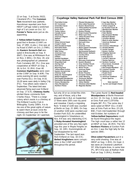22 on Sep. 5 at Docks 20/22, Cleveland (PL). The **Common Tern** movement was pathetic. Hannikman reported zero from HBSP! LePage noted a wretched high of 3 at Lorain on Oct. 31! **Forster's Terns** were just as disappointing.

A **Yellow-billed Cuckoo** was a good find in Boston (CVNP) on Sep. 27 (MR, m.obs.). One was at Ira Road (CVNP) on Oct. 2 (TMR). An **Eastern Screech-Owl** was spied in Brecksville on Sep. 9 (BAT). One was at Millstream Run on Nov. 2 (BDL). On Nov. 19, one was photographed at Lakewood Park Cemetery (BF, PL). One was cooperative at HBSP on Sep. 3, 30, & Oct. 31 (RH). Over 40 **Common Nighthawks** were seen at the CVNP on Sep. 9 (KM). The same evening 64 were counted over Parma (GL). On Sep. 8-10, 10-20 were seen daily in Valley City (FG). Few others were noted in September. The latest bird was observed flying east over Kirtland on Sep. 17 (CK). **Chimney Swifts** elicited these comments from Charles Klaus. "There is a large colony which roosts in a chimney at The Kirtland Country Club in Willoughby. Surely 1000's. It is to me one of the great sights of nature to watch them at dusk circle the chimney and then pour in for the night. On September 14 I watched,



#### **Cuyahoga Valley National Park Fall Bird Census 2000**

**Turkey Vulture**  53 Eastern Phoebe<br>Canada Goose 722 Great Crested F **Mallard** 309 **Warbling Vireo Cerulean Warbler Sharp-shinned Hawk Cooper's Hawk Eastern Screech-Owl Chimney Swift Chimney Swift 34 Brown Thrasher**<br>**Ruby-thr. Hummingbird** 3 European Starlin **Red-bellied Woodpecker** 81 **Nashville Warbler** 10

Pied-billed Grebe **Pileated Woodpecker** 9 Cape May Warbler **DC Cormorant Olive-sided Flycatcher B.-throated Blue W.** 4 **Great Blue Heron 15 Eastern Wood-Pewee Great Egret Yellow-bellied Flycatcher B.-throated Green W.** 1 **Green Heron Least Flycatcher Blackburnian Warbler** 1 6 **Killdeer House Wren Song Sparrow** 33 Spotted Sandpiper 3 Marsh Wren 3 Lincoln's Sparrow 2 **Herring Gull Gray-cheeked Thrush Rose-breast. Grosbeak**  6 **Mourning Dove** 62 **Wood Thrush Red-winged Blackbird** 529 2 9 Cape May Warbler 1 **Wood Duck** 143 **White-eyed Vireo Bay-breasted Warbler Canada Goose**  722 Great Crested Flycatcher<br>
Wood Duck **Palm Markland 143 White-eved Vireo American Wigeon Yellow-throated Vireo Blackpoll Warbler** 1 **Philadelphia Vireo Cooper's Hawk 0 Blue Jay 315 Ovenbird 315 Ovenbird 7 American Crow 308 Common Red-shouldered Hawk 7 American Crow 308 Common Yellowthroat** <br>Red-tailed Hawk 9 Black-canned Chickadee 253 Hooded Warbler **Red-tailed Hawk Black-capped Chickadee** 253 **Hooded Warbler**  9 **American Kestrel Tufted Titmouse** 83 **Scarlet Tanager**  3 **Wild Turkey Red-breasted Nuthatch Eastern Towhee** 18 **American Coot** 1 White-breast. Nuthatch <br>
Sandhill Crane 1 4 Carolina Wren 6 Least Flycatcher **Sandhill Crane Carolina Wren** 18 **Field Sparrow 18 Field Sparrow 18 Field Sparrow 18 Field Sparrow 18 Field Sparrow** 1 3 Red-eyed Vireo 0 Blue Jay 7 1 1 4 7 House Wren 3 Marsh Wren American Woodcock 2 Blue-gray Gnatcatcher 1 Swamp Sparrow 6 Gray-cheeked Thrush 1 3 3 **Ruby-thr. Hummingbird European Starling** 226 **House Finch** 92 1 **Ring-billed Gull** 94 Eastern Bluebird 124 Northern Cardinal **124** Northern Cardinal **111** 6 Gray-cheeked Thrush 2 Rose-breast. Gros **Rock Dove** 75 **Swainson's Thrush** 10 **Indigo Bunting** 33 **Yellow-billed Cuckoo American Robin** 300 **Common Grackle** 359 **Belted Kingfisher** 16 **Cedar Waxwing** 94 **American Goldfinch** 335 **Red-headed Woodpecker 1 Tennessee Warbler 5 and Sparrow Boot Sparrow Boot Sparrow Boot Sparrow Boot Sparrow Boot Sparrow Boot Sparrow Boot Sparrow Boot Sparrow Boot Sparrow Boot Sparrow Boot Sparrow Boot Sparrow Boot Spar Downy Woodpecker** 75 Yellow Warbler 2 Data reported<br>
Hairy Woodpecker 10 Chestnut-sided Warbler 5 by Ann and Dwight ( **Hairy Woodpecker**  10 Chestnut-sided Warbler<br>Northern Flicker **88 Magnolia Warbler** 88 **Magnolia Warbler** 

The Lanes found 11 **Red-headed** 1 2 1 6 1 1 1 2 6 1 4 7 4<br>47 3 6 3 5 116  $rac{8}{33}$ 1  $\frac{3}{92}$ 2 Eastern Towhee<br>57 Chipping Sparrow 1 Swamp Sparrow 1 Purple Finch<br>226 House Finch **5 House Sparrow** 5 by Ann and Dwight Chasar<br>15 1 B.-throated Blue W. 4 Yellow-rumned W. 1 B.-throated Green W. 40 Pine Warbler 2 Palm Warbler 3 Blackpoll Warbler 2 Cerulean Warbler 1 Black-&-white Warbler **7 American Redstart** 36<br>33

but only 10 or so circled the chimney; and of those, only a few dropped into it. But, on September 17 there were 100's over my pond and meadow. Clearly a migrating flock." A total of 1100 was counted at Berlin on Sep. 21 (BM). On Sep. 23 another 1100 were counted over Gordon Park (SZ). An unidentified hummingbird in Streetsboro on Nov. 8-9 was very interesting (CH). A **Ruby-throated Hummingbird** provided one of the very few sightings this year in Maple Heights on Sep. 10. (DR). Hummingbirds all but disappeared by mid-September. The last report was from Kirtland on Sep. 16 (CK). **Belted Kingfishers** were conspicuous in the CVNP and HBSP throughout the period.

**Woodpeckers** at Berlin Reservoir on Oct. 15. On Sep. 2, birds were at Sims Park and CLSP/Villa Angela (BF. PL). The same day 2 were spied at HBSP (GL). A bird was at Sims Park on Nov. 23 (JB, BW). From mid-September through mid-October, fair numbers of **Yellow-bellied Sapsuckers** could be found throughout the region. The high count was a rather low 12 at HBSP on Sep. 26 (RH). The 50+ **Northern Flickers** at Gordon Park on Oct. 1 was the high tally for the species (BW).

**Olive-sided Flycatchers** put in a very solid showing. One was at HBSP on Sep. 1 (RH). On Sept. 2, two were at Cleveland Lakefront SP, Villa Angela Area, in same tree (PL, BF)! One was at Nathan Hale Park on Sep. 5 (RHL). Another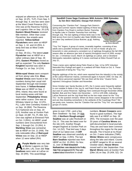enjoyed an afternoon at Sims Park on Sep. 10 (PL, TLP). From Sep. 5 through Sep. 9, one-two were seen at the West Creek Preserve (GL). One was at the Ravenna Training and Logistics Site on Sep. 20 (LR). **Eastern Wood-Pewees** received little mention. Other than Least Flycatcher, few empids were reported. **Yellow-bellied Flycatchers** were seen at HBSP on Sep. 1, 10. and 24 (RH). A tardy bird was at West Creek Preserve

on Sep. 29 (GL). The latest **Least Flycatcher** was at HBSP on a rather ordinary date of Sep. 26 (RH). **Eastern Phoebes** moved as well as expected. The only **Eastern Kingbird** reported was seen in Portage Co. on Sep. 14 (CH).

**White-eyed Vireos** went unreported from along Lake Erie. **Blueheaded Vireos** were found in fair numbers during their usual mid-September through mid-October time frame. A **Yellow-throated Vireo** was at HBSP on Sep. 2 (RH). Inland, they were found at local nesting areas until late September. **Philadelphia Vireos** were rather scarce. One was at Whiskey Island on Sep. 13 (FG, PL). Lake View Cemetery hosted 3 on Sep. 16 (BW). The Ravenna TLS harbored one on Sep. 20 (LR). Another was at Gordon Park on Sept. 24 (BF, TG, Pl, BW, SZ). One was sighted at Elmwood Park on Oct. 3 (RHL). At HBSP, small numbers were encountered from Sep. 1 through Oct. 15 (RH). A **Warbling Vireo** was somewhat late at HBSP on Oct. 21 (KM). The only noticeable influx of **Red-eyed Vireos** was on Sep. 22 at HBSP when 12 were tallied (RH).

**APurple Martin** was very late<br>at Mentor Lagoons on Sep.<br>**Swallows** were seen at LaDue on at Mentor Lagoons on Sep. 26 (RH, LR). Over 200 **Tree** Sep. 20 (RR). This assemblage

#### **Sandhill Crane Saga Continues With Autumn 2000 Episod es by Dan Best--Naturalist, Geauga Park District**

Concerning the "Claridon Pair": Geauga Park District's spring and summer reports related sighting of these two from Claridon-Troy Road in northern Burton Township to Aquilla Lake in Claridon Township from mid-May through July. The last sighting of these birds was in the field across from (not in) Aquilla Lake State Wildlife Area on Labor Day weekend (Grace Butcher, et.al). Nothing since.

**Claridon Sandhill Cranes by Kevin Metcalf©**

"Troy Trio" lingers: A group of cranes, invariably together, consisting of two. adults and a possible immature bird (little or no red on head)--all gray (vs. brownish) in color produced a consistent run of sightings throughout the fall 2000 season after an absence (per lack of reports) throughout much of 2000, except for Jan. 1 Christmas Count, March 16 sightings at LaDue, and a Cleveland Metroparks naturalists sighting of 3 cranes overhead at Eldon Russell Park on July 22.,

Three cranes were sighted along Pekin Road on Sep. 14 by GPD Volunteer Naturalist Roy Podogil and again in a wetland off Pekin Road on Oct. 6. These are suspected of being the "Troy Trio."

Regular sightings of the trio, which were reported from the island(s) in the vicinity of the LaDue Reservoir marina, commenced again in Autumn 2000. On Sep. 25, City of Akron personnel reported "We see them all the time." Duane Ferris reported 3 throughout October and November.

Since October (per Sandy Buckles to DF), the 3 cranes were frequently sighted in corn stubble in fields in the Jug St. and Patch Road vicinity in Troy Township- due east of LaDue Reservoir. Sightings here continued through November (Molly Bartlett, Bob and Eric Faber) into December -- 12/3 & 12/9 (DB)--indicating LaDue Reservoir and the Jug Road field as the two major areas for the "Troy Trio." So the question remains: Where do these cranes disappear in the summer and are they breeding somewhere in the wetlands of the Cuyahoga River? We are pretty sure, however, that the "Claridon Pair and the "Troy Trio" are separate groups of cranes.

grew to over 1700 --and a few Barn Swallows-- by Sep. 24 (fide DB). A **Northern Rough-winged Swallow** was at Lake Rockwell on Oct. 8 . This was the latest ever for the site (LR). Another Roughwinged lingered at Gordon Park on Oct. 14 (SZ). That bird was 3 days short of our latest ever. A **Cliff Swallow** was observed carefully at HBSP on Sep. 4 (RH). The last **Barn Swallow** reported was from HBSP on Oct. 15 (RH). On Nov. 11, over 30 **Red-breasted Nuthatches** were detected in the Findley State Park campground (CR). They were scattered about elsewhere in small

numbers. **Brown Creepers** were found in good numbers. The high tally was 8 at HBSP on Sep. 26 (RH). The increases over the past 20 years of **Carolina Wrens** are well-documented in local journals. They are and have been common throughout the region for the past decade. The 6 found at Ira Road on Oct. 2 were indicative (TMR). **Winter Wrens** were conspicuous along the lake and inland. Counts at HBSP ranged to 30 on several October dates. **House Wrens** moved well in late September. Five **Marsh Wrens** were at Gordon Park (Dike 14) on Sep. 25 (KM, SZ). On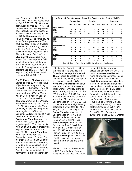Sep. 29, one was at HBSP (RH). Whiskey Island Marina hosted birds on Oct. 3 & 11 (FG, PL). One was at Ira Road on Oct. 16 (TMR). The kinglets were both well-represented, especially along the lakefront. Hannikman conservatively estimated 140 **Golden-crowneds** at HBSP on Oct. 8. The same day he tallied 80 **Ruby-crowneds**. The next day Zadar tallied 300 Goldencrowneds and 200 Ruby-crowneds at Gordon Park. Inland, Goldencrowned numbers peaked at 61 at Shaker Lakes on Oct. 13 (GL). **Blue-gray Gnatcatchers** were absent from most reporter's field sheets. I hope I am not the only one who cannot hear them as I once did. The high count of gnatcatchers was only 6 at HBSP on Sep. 30 (LR). A bird was tardy in Lorain on Oct. 22 (TG, SZ).

The 75 **Eastern Bluebirds** seen in Boston on Oct. 12 were indicative of just how well they are doing in the CVNP (MR, m.obs.). The 3 at Lake View Cemetery on Oct. 28 were good news (BW). A **Veery** was at Gordon Park on Sep. 24 (PL, m.obs.). **Gray-cheeked Thrushes** were noted at Whiskey Island Marina on Sep. 27 & Oct. 4 (FG, PL). One was at Lake View Cemetery on Sep. 16 (BW). They were regular at HBSP all of September. A late bird was at West Creek Preserve on Oct. 10 (GL). **Swainson's Thrushes** were common in their usual September migration period. The high counts were 10 at Lake View Cemetery on Sep. 16 (BW) and at HBSP on Sep. 24 (RH). **Hermit Thrushes** were widespread from late September through October. The high tally was 15 on Oct. 15 in the Mentor Lagoons-HBSP area (RH, LR). On Oct. 16, construction on the north side of the National City Bank Building forced (via jack hammering) a large concentration

| A Study of Four Commonly Occurring Species in the Boston (CVNP)           |                  |              |              |          |             |                |                               |    |                 |              |              |             |
|---------------------------------------------------------------------------|------------------|--------------|--------------|----------|-------------|----------------|-------------------------------|----|-----------------|--------------|--------------|-------------|
|                                                                           | <b>September</b> |              |              |          | October     |                |                               |    | <b>November</b> |              |              |             |
|                                                                           | W <sub>1</sub>   | W2           | W3           | W4       | W1 <b>W</b> |                | W <sub>2</sub> W <sub>3</sub> | W4 |                 |              | W1 W2 W3 W4  |             |
| <b>Cedar Waxwing</b>                                                      |                  |              |              |          |             |                |                               |    |                 |              |              |             |
| 1997                                                                      | $\bf{0}$         | $\bf{0}$     | 0            | 0        | 0           | 15             | 8                             | 80 | 30              | 5            | 0            | 20          |
| 1998                                                                      | 53               | 23           | 21           | 4        | 8           | $\bf{0}$       | 22                            | 8  | 8               | 0            | 0            | $\mathbf 0$ |
| 2000                                                                      | 15               | 17           | 9            | 0        | 14          | 0              | 0                             | 5  | $\bf{0}$        | $\bf{0}$     | 0            | $\bf{0}$    |
| Yellow-rumped W.                                                          |                  |              |              |          |             |                |                               |    |                 |              |              |             |
| 1997                                                                      | $\bf{0}$         | $\mathbf{0}$ | 0            | 0        | 0           | 50             | 50                            | 80 | 40              | 30           | $\mathbf{2}$ | 40          |
| 1998                                                                      | 0                | 0            | 0            | 5        | 17          | 25             | 55                            | 26 | 25              | 1            | 0            | 0           |
| 2000                                                                      | $\bf{0}$         | $\mathbf{0}$ | $\bf{0}$     | $\bf{0}$ | 20          | 20             | 21                            | 17 | 10              | $\mathbf{2}$ | $\bf{0}$     | $\bf{0}$    |
| <b>Eastern Bluebird</b>                                                   |                  |              |              |          |             |                |                               |    |                 |              |              |             |
| 1997                                                                      | 0                | 0            | 0            | 0        | 0           | 20             | 3                             | 80 | 40              | 12           | 50           | 30          |
| 1998                                                                      | 0                | 0            | 0            | 3        | 18          | $\overline{2}$ | 45                            | 20 | 15              | $\mathbf{2}$ | 0            | 0           |
| 2000                                                                      | 8                | 30           | 10           | 46       | 3           | 25             | 33                            | 33 | $\mathbf{2}$    | 15           | 23           | 9           |
| A. Robin                                                                  |                  |              |              |          |             |                |                               |    |                 |              |              |             |
| 1997                                                                      | $\Omega$         | $\Omega$     | 0            | $\bf{0}$ | $\Omega$    | 40             | 40                            | 80 | 40              | 60           | 20           | $\mathbf 0$ |
| 1998                                                                      | 0                | 0            | 0            | 1        | 6           | 1              | 24                            | 9  | 1               | 0            | 0            | $\bf{0}$    |
| 2000                                                                      | 0                | $\mathbf{0}$ | $\mathbf{0}$ | 9        | 36          | 15             | 85                            | 5  | $\overline{2}$  | 3            | $\mathbf{0}$ | $\bf{0}$    |
| Data submitted by Mary Reinthal. (In 1999, the bridge was out at Boston.) |                  |              |              |          |             |                |                               |    |                 |              |              |             |

of birds to the Euclid Ave. side of the building. This provided the Calendar a late report of a **Wood Thrush** doing its best to stay hidden in this very small green spot in an ocean of concrete (SW). **Northern Mockingbirds** continue to evoke comments from readers. Three were at Whiskey Island on Sept. 13 (FG, PL). One was in the CVNP on Nov. 12 (BAT). Two were in another sector of the CVNP the same day (CR). Another was at Shaker Lakes on Nov. 5 & 15 (LD). **Gray Catbirds** were slightly tardy at Gordon Park on Oct. 16 (RHL, SW) and on Oct. 24 (SZ). A late **Brown Thrasher** was seen at Shaker Lakes on Nov. 1 (LD). Another tardy bird was at Ira Road on Oct. 30 (TMR). Six **American Pipits** were at Lake Rockwell on Nov. 5 (VW). Four were seen at Gordon Park on Nov. 23 (SZ). One was late at Fairport Harbor on Nov. 29 (KM). **Cedar Waxwings** had made little effort to move into the region from the north by the end of the period.

The field diligence of Hannikman at HBSP and Zadar at Gordon Park/Dike 14 provided much data

on the distribution of warblers across the lakefront. On Oct. 16, a tardy **Tennessee Warbler** was found at Chester Commons, along with the usual sparrow suspects (SW). **Orange-crowned Warblers** were detected in higher than normal numbers. Hannikman recorded them on 5 dates at HBSP. Zadar counted many at Gordon Park in September and October. His top counts there were 14 on Oct. 8 and 10 on Oct. 9. One was at HBSP on Sep. 18 (KM). On Sep. 23, 4 were there (BM). Two were at North Chagrin on Oct. 4 (KM). Another was at Whiskey Island on Oct. 4 (PL, FG). One was in Twinsburg on Oct. 13 (LR), another

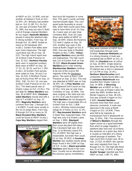at HBSP on Oct. 14 (KM), and yet another at Veteran's Park on Oct. 15 (RH, LR). Whiskey had another bird on Oct. 21 (BF, PL). On Oct. 22, one was at Gordon Park (BF, PL, BW). Any way you slice it, that's a lot of Orange-crowned Warblers for our region. **Nashville Warblers** poured in along the lakefront sites in strong numbers. From Sep. 16 through Oct. 14, HBSP hosted as many as 30 individuals (RH, m.obs.). Gordon Park tallies were even more impressive. The high count there was 46 on Sep. 16 (SZ). The high inland report was 14 at West Creek Preserve on Sep. 22 (GL). **Northern Parulas** were seen in expected numbers. Birds were at HBSP on Sep. 16, 17 (2), 22, 26 (3), and Oct. 1 (RH, m.obs.). At Gordon Park parulas were noted on Sep. 16 and 2 on Sep. 24 (SZ). A Northern Parula was at Rocky River MP on Sep. 13 (RHL, SW). On Oct. 10, one was at West Creek Preserve on Oct. 10 (GL). The latest parula was at Shaker Lakes on Oct. 13 (GL). The last date for **Yellow Warblers** was Sep. 30 at HBSP (RH). **Chestnutsided Warblers** moved well with a high of 7 at HBSP on Sep. 22 (RH). **Magnolia Warblers** were common from Sep. 1 through Oct. 1 at HBSP. Counts were usually in the 10-14 range there. From Sep. 8 through Oct 14 as many as 10 **Black-throated Blue Warblers** could be found at HBSP (m.obs.). **Cape May Warblers** staged their



best local fall migration in some time. This year's counts normally reached double digits. This compared quite favorably to recent falls, when field counts were fortunate to have them at all. On Sep. 16, 4 were seen at Lake View Cemetery BW). Over 20 Cape Mays were tallied at HBSP on Sep. 18 (KM). Inland, the Ravenna TLS held 3 captive on Sep. 20 (LR). Another was seen in the snow at North Chagrin on Oct. 8 (KM). One was tardy in Mayfield Heights on Nov. 5 (NB). **Yellowrumped Warblers** were plentiful and widespread. The high count was 131 at Gordon Park on Sep. 30 (SZ). **Black-throated Green Warblers** put in a fair showing. **Blackburnian Warblers** continue to be one of the scarcer fall migrants of the the Dendroica genus. Two were at West Creek Preserve on Sep. 11 (GL). The only one detected at HBSP was on Sep. 26 (RH, LR). A **Pine Warbler** was at Ridgewood Golf Course on Sep. 23 (GL). One was at Lake View Cemetery on Sep. 16 (BW). Two were singing in the sleet and rain on Oct. 8 at Lake Rockwell (LR). **Palm Warblers** did not disappoint. The high was a respectable 65+ at Gordon Park on Oct. 1 (BW, m.obs.). Whiskey Island provided refuge for 4 Palms on Oct. 21 (PL, BF). **Bay-breasted Warblers** were in fewer than expected totals. The high was only 4 at Shaker Lakes on Sep. 1 (BW). **Blackpoll Warblers** were off slightly from their usual abundant fall status. The Cleveland high was 18 on Sep. 13 at Whiskey Island (FG, PL). At HBSP, the high was a respectable, but lower than usual, 22 on Sep. 30 (RH). A **Cerulean Warbler** was studied closely along Major Road in the CVNP on Sep. 18 (LR, m.obs.). **Black-and-white**

**Warblers** were found in fair numbers. Usually not as abundant as the previous genus nonetheless,



they were common at HBSP from mid-September through early October. **American Redstarts** put in a strong showing. A male was somewhat late at HBSP on Oct. 21 (KM). An **Ovenbird** was at LaDue on Sep. 20 (RR). Single observations were the norm along the lake. Of interest was a bird in Lakewood at 7:15 PM on Sep. 25 (PL). **Northern Waterthrushes** went unreported. Rarely found after July, a **Louisiana Waterthrush** was reported from Shaker Lakes on Sep. 14 (BW). A **Mourning Warbler** was at HBSP on Sep. 1 (RH). One was at Shaker Lakes the same day (BW). Another was at Mentor Lagoons on Sep. 26 (LR). One was at North Chagrin on Oct. 4 (KM). **Hooded Warblers** received more than their usual observer comments. A male was observed in the snow at North Chagrin on Oct. 19 (KM). Three were felt to be migrants at Homesbrook Park in Wadsworth on Sep. 12 (RHL, SW). The movement of **Wilson's Warblers** through the region serves as a good barometer from which to judge migration. If lakefront sites host over 10 of these tiny dynamos on a given day, then it is usually an indication of a strong overall passage of warblers. The high count from Gordon was 18 on Sep. 13 (SZ). At HBSP, this species was seen regularly from Sep. 8 through Oct. 15. The high tally there was 15 on Sep. 23 (RH). A migrant **Scarlet Tanager** reported was from HBSP on Sep. 3 (BF, PL, BW).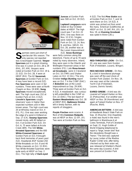<span id="page-11-0"></span>

**SPARRICH SPACE SPACE SPACE SPACE SPACE SPACE SPACE SPACE SPACE SPACE SPACE SPACE SPACE SPACE SPACE SPACE SPACE SPACE SPACE SPACE SPACE SPACE SPACE SPACE SPACE SPACE SPACE SPACE SPACE SPACE SPACE SPACE SPACE SPACE SPACE SP** spectacular this season. The only species not reported **Sparrows** put in a great showing. One was in Lorain on Oct. 28 & 29 (RHL, EP, KM). Vespers were noted at Gordon Park on Oct. 19 & 21 (SZ). On Oct. 28, 4 were at HBSP (RH). The 62 **Savannah Sparrows** at Gordon Park on Oct. 4 may have been a record (SZ). **Fox Sparrows** were seen in fair numbers. Three were seen at North Chagrin on Nov. 19 (KM). **Song Sparrows** moved exceptionally well. The high count was 152 at Gordon Park on Oct. 4 (SZ). **Lincoln's Sparrows** caught observers' eyes in higher than expected numbers and in little known areas. The high count was 20 at Whiskey Island on Oct. 4 (FG, PL). One was seen working the edge of a pond in Kirtland on Sep. 17 (CK). **Swamp Sparrows** moved nicely, with 83 tallied on Oct. 4 at Gordon Park (SZ). On Oct. 6, 75 were tallied at Arcola Creek (BM). The 500 **Whitethroated Sparrows** and the 600 **White-Crowned Sparrows** at Gordon Park on Oct. 9 brought back fond memories of years past (SZ). Headlands BSP hosted 250 White-throateds on Oct. 8 and 40 White-crowneds on Oct. 15 (RH). Two White-throated Sparrows were quite early at HBSP on Sep. 2 (GL). The high tally of **Dark-eyed**

**Juncos** at Gordon Park was 500 on Oct. 19 (SZ).

#### **Lapland Longspurs** were

noted on four October dates at HBSP. The high count was 7 on Oct. 22 (RH). One was there on Nov. 12 (CH). Singles were noted from Gordon Park on Oct. 13, 14, Nov. 9, and Nov. 18(SZ). On Oct. 28, another was at the Lorain Impoundment

(SZ). **Snow Buntings** were fairly common along the lakeshore. Flocks of up to 70 were noted by many observers. Inland, they were seen in the Oberlin and Wellington Reservoir areas in fair numbers (FG). Late **Rose-breasted Grosbeaks** were in Cleveland on Oct. 10 (TMR) and Shaker Lakes on Oct. 13 (GL). The only October **Indigo Bunting** report was on Oct. 7 in the CVNP (DAC). A **Bobolink** was at the Lorain Impoundment on Sep. 29 (KM). Three were at Gordon Park on Oct. 4 (SZ). A meadowlark was curiously left unidentified in the CVNP on Oct. 22 (DAC). The last report of **Eastern Meadowlarks** was Oct. 28 at HBSP (RH). **Baltimore Orioles** left in timely fashion, with no reports of stragglers.

**Purple Finches** were scarce. A flock of 40± **Common Redpolls** was at HBSP on Nov. 12 (VF, LR). Two were at Gordon Park on Nov.



4 (SZ). The first **Pine Siskin** was at Gordon Park on Oct. 7, and 16 were there on Oct. 14 (SZ). A siskin was picked out from amid the many American Goldfinches at HBSP on Oct. 31 (HP, RH, LR). On Nov. 19, an **Evening Grosbeak** was spied in Akron (JB).g



**RED-THROATED LOON -** On Oct. 22, one was seen from Gordon Park (Finkelstein, Lozano, Winger).

**RED-NECKED GREBE -** On Nov. 8, a bird in transitional plumage was seen off the east shore of Gordon Park (Zadar). On Nov. 19, one was seen at the Lakeside Yacht Club (Finkelstein, Lozano, Dennis Vanek).

**EARED GREBE -** A bird was discovered at Fairport Harbor on Nov. 21 (Petruschke). It or another was HBSP on Nov. 26 (Hannikman) and again at Fairport Harbor on Nov. 27 (Rosche, Wert).

**AMERICAN BITTERN -** A bird was at Headlands Beach State Park on Sep. 15 (Rosche). One (hopefully a male) was found in the men's bathroom in Warehouse A at Ceres Terminals, Port of Cleveland, on Sept. 21. Hugh Goldie of World Shipping telephoned to report a "large, brown bird" that the stevedores thought was a "heron." The bird was captured by Laura Jordan of the Medina Raptor Center and, after being checked out by their avian vet, was released at Sheldon's Marsh the same day (Lozano). A bird was present at Gordon Park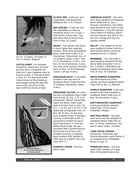

on Oct. 4 (Zadar), and again on Oct. 11 (Harlan, Wagner).

**CATTLE EGRET -** An immature lounged for several days at a quarter horse farm in Mogadore. By blind luck, it was happened upon by Rosche on Nov. 9. Holt saw it there on Nov. 10. The bird would follow horses around as they kicked up grasshoppers during the day, then roost on the roof of one of the barns with Rock Doves at night.



**GLOSSY IBIS -** A bird was very cooperative in the Brecksville Metropark Nov. 5-11 (Chasar).

**IBIS SPECIES -** A dark ibis was left unidentified as it flew by Headlands Beach SP on Sep. 4 (Hannikman, Petruschke). Two dark ibises flew by Rocky River Park on Nov. 23 (Leidy).

**BRANT -** This species was found in much higher than expected numbers. Birds were at Headlands Beach State Park on Nov. 4 (2) (Hannikman, Petruschke); Nov. 11 (7) (Gilliland, Zadar, m.obs.); Nov. 12 (1) (Hannikman, m.obs.); .and Nov. 18 (16) (Hannikman, m.obs.). Two were at the Gordon Park Boat Basin on Nov. 12-16 (Finkelstein, Lozano, LePage, m.obs.).

**HARLEQUIN DUCK -** A wounded immature male was seen at Headlands Beach State Park Nov. 11 (Gilliland, Hannikman, Zadar, m.obs.).

**PEREGRINE FALCON** - An immature was at Headlands Beach State Park on Sep. 30, Oct. 7, 15, & 22 (Hannikman, Metcalf, Petruschke). Zadar and others noted single birds at Gordon Park on Sep. 24; Oct. 7, 10, 14; and 2 on Oct. 9. He added two at Edgewater Park on Nov. 18. On Nov. 19, two were seen at Winton Place (Finkelstein, Lozano). Scott Wright wrote, "A young falcon winged his way to West Palm Beach, FL from the Hilliard Road bridge. He was recovered with a gunshot wound. Wound was not serious and a complete recovery is expected. Band numbers K/W hatched in 2000. Was he caught in the chad cross fire????"

**SANDHILL CRANE -** See Dan Best's notes.

**AMERICAN AVOCET -** Two were seen flying westward at Headlands Beach State Park on Sep. 1 (Rosche, Hannikman). Two others were located at Sims Park on Sep. 21 (Kellerman). Using the old-fashioned method of making a phone call, the observer was able to contact Tom LePage and have his sighting verified.

**WILLET -** One landed on the farwest mudflat at Gordon Park for a brief moment before continuing westward on Oct. 2 (Zadar).

**WHIMBREL -** This bird made a good traveling companion for the above Willet at Gordon Park on Oct. 2 (Zadar). A Whimbrel was spotted at Headlands Beach state Park on Sep. 10 (Fjeldstad).

**WHITE-RUMPED SANDPIPER -**

Our latest report ever of this species was from Headlands Beach State Park on Nov. 11 (Metcalf).

**PURPLE SANDPIPER -** A bird was located on the near breakwall at Headlands Beach State Park on Nov. 28 (Hannikman, m.obs.).

**BUFF-BREASTED SANDPIPER –**

A bird graced Burke Lakefront Airport Sept. 23-24 (Lozano, Finkelstein, Winger).

**RED PHALAROPE -** Two birds were found near the breakwall at Headlands Beach State Park on Nov. 12 (Fazio, Hannikman). One was in Lorain on Nov. 19 (Holt).

**LONG-TAILED JAEGER -** Hannikman, Petruschke, and

Rosche witnessed a quick flyover of an immature bird at Headlands Beach on Sep. 15.

**FRANKLIN'S GULL -** One was spied in the company of a large flock of Ring-billed Gulls at the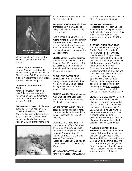

intersection of Jones and Hawley Roads in Lorain Co. on Nov. 11 (Rieker).

**LITTLE GULL -** One was at Gordon Park on Oct. 28 (Zadar). An adult flew by Headlands Beach State Park on Oct. 22 (Hannikman, m.obs.). Another was there on Nov. 6 (Elder, LePage, Tanquist).

#### **LESSER BLACK-BACKED GULL-**

Always noteworthy away from Lake Erie, one was at Oberlin Reservoir on Nov. 11 (Greenland). Two adults were at Summit Lake on Nov. 22 (Holt).

**SHORT-EARED OWL** - A bird was flushed at Gordon Park on Oct. 1 (Rosche, Finkelstein, Lozano, Winger). One was at Gordon Park on Oct. 8 (Zadar, Gilliland). One was at Headlands Beach State Park on Oct. 29 (Hannikman). One



was in Parkman Township on Nov. 22 (Ferris, fide Best).

**WESTERN KINGBIRD -** A bird was photographed in the Cuyahoga Valley National Park on Sep. 8 by Jared Mizanin.

**NORTHERN SHRIKE -** The only reports for the fall were two birds in the Headlands Beach State Park area on Oct. 26 (Hannikman), one in the CVNP on Nov. 8 (Stover), and one at Mentor Lagoons on Nov. 26 (Hannikman) .

**SEDGE WREN -** Zadar's diligence at Gordon Park paid off with 3 of these on Sep. 13, 2 on Sep. 16 & 30 (Gilliland), and 1 on Oct. 14. Metcalf noted them singing there on Sep. 25 & Oct. 3.

#### **BLACK-THROATED BLUE**

**WARBLER -** A male lingered through the period at Rocky River. It remained until Dec. 10, establishing a new late date for the species (Gilliland, m.obs.).

**PRAIRIE WARBLER-** An immature male was along the Lake Woods Trail at Mentor Lagoons on Sep. 26 (Rosche, Hannikman).

**WORM-EATING WARBLER -** A

belated summer sighting of note, one was banded at Ohio and Erie Canal Reservation on June 19. (Metcalf).

#### **CONNECTICUT WARBLER -** A

bird was at Lake View Cemetery on Sep. 21 (Winger). One was reported from the Jesuit Retreat Home in Parma on Sep. 13 (Leidy). On Sep. 27, a bird was seen at Whiskey Island (Greenland, Lozano). One was at Gordon Park on Oct. 1 (Rosche, Winger).

**YELLOW-BREASTED CHAT -** Always noteworthy after August, a chat was spied at Headlands Beach State Park on Sep. 2 (Leidy).

#### **WESTERN TANAGER -**

Respected observer Tom LePage watched a bird closely at Elmwood Park in Rocky River on Oct. 3. This is our first local report of this species since January of 1972 in Mentor.

#### **CLAY-COLORED SPARROW -**

One was scrutinized carefully at Gordon Park on Oct. 4 (Zadar). Another was spied at Whiskey Island on Oct. 7 (Winger). Best received reports of 3 members of this species in Geauga County this fall. Two were at Andy Fondrk's home and another at Ray Dabkowski's home. Both were in Chester Township on the sleet and snow-filled day of Oct. 8. No previous record of Clay-colored Sparrow exists from Geauga County, but these reports were deemed credible by the editors. According to the Bird Calendar records, this brings the total species for Geauga County to 277.

**LE CONTE'S SPARROW -** Gordon Park hosted a bird in juvenile plumage on Sep. 23 and an adult on Oct. 16 (Gilliland, Zadar). The adult was photographed. On Oct. 28, a stunning bird was found in the grassy areas adjacent to the Mentor Lagoons parking lot (Rosche, Hannikman). Later in the afternoon, it was photographed diagnostically by Kevin Metcalf.

#### **NELSON'S SHARP-TAILED**

**SPARROW -** The long and storied history of Gordon Park playing to this species continued in 2000. Zadar and Gilliland reported 1 from Sep. 15-16 and 2 from Sep. 23 to Oct. 14. Readers gain insight into Sean's seriousness from this comment, "I thought I had two different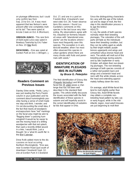<span id="page-14-0"></span>on plumage differences; but I could only confirm two from Sep. 23 to Oct. 14. It was most apparent that two Nelson's were present after one completely molted its tail." Two were spied at Arcola Creek on Oct. 6 (Morrison).

**OREGON JUNCO -** This rare form of Dark-eyed Junco was spied in Newbury Township by Eric Faber on Nov. 23 (fide Best).

**DICKCISSEL -** One was spied at Gordon Park on Oct. 1 (Winger). g



### **Readers Comment on Previous Issues**

Stanley Stine wrote, **"**Hello, Larry, I was just reading the Perry Peskin column in your publication and his comment about hummingbirds possibly having a sense of smell made me stop and think. I wonder, and I'm not discounting the smell idea, i f the fact that nearly all woodpeckers/sapsuckers have "red" markings on the facial area might be akin to "flagging down" a passing hummingbird! It would be far easier to see the moving head of a drilling woodpecker with that red splash, than spot a recently drilled wound in a tree, I would think. Just a thought for a 'what it's worth file' in the Bird Calendar .

Drew Rolik added more to the discussions on local occurring Northern Mockingbirds. "One was near Scranton Road (just south of downtown Cleveland) Sept. 12; one at Gordon Park in Cleveland

Oct. 17; and one in a yard on Franklin Blvd. (Cleveland's near west side) Oct. 26. Fewer observations this season. I found Lou Gardella's comments on this species in the last issue very inter esting. My observations agree with his; industrial (or formerly industrial) areas with "abandoned area plants" are the locations where I have most frequently seen this species. The exception is in winter/cold weather, when I've most often observed this species in urban gardens where there are many shrubs with fruits and perennials with seeds."

# **IDENTIFICATION OF IMMATURE PLEGADIS IBIS IN AUTUMN by Bruce G. Peterjohn**

The field identification of Glossy Ibis (Plegadis falcinellus) and Whitefaced Ibis (P. chihi) poses a challenge that has not been well described in the standard field guides. This article briefly discusses the issues associated with the field identification of these species in autumn and will hopefully assist in the correct identification of extralimital ibis that appear in Ohio.

Since the distinguishing characteristics vary with the age of the individual and its stage of molt, the first step in this identification process is to age the bird(s): ADULTS

In July, the adults of both species normally retain their breeding plumages. The coloration of the soft parts will fade as the individuals leave their breeding condition, but they can be safely aged as adults by their bright metallic purplebronze upperparts and wings and unmarked rufous-bronze head and neck. The adults will molt out of this breeding plumage during autumn, and by late September or early October, will obtain their non-breeding plumages. The non-breeding plumage of both species consists of a rather dull purplish back and wings and a brownish head and neck with fine white streaks across the head and extending approximately halfway down the neck.

On average, adult White-faced Ibis tend to molt slightly earlier than Glossy Ibis. Adult White-faceds may obtain a complete nonbreeding head pattern by late July or early August, while in the mid-Atlantic region, most adult Glossies are just beginning to molt their

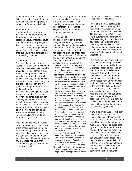heads and neck during August. Differences in the timing of molt are not diagnostic, but may provide a helpful clue for some individuals.

#### SUB-ADULTS

Throughout their first year of life, individuals of both species retain the non-breeding plumage described above. Until late August or early September, any Plegadis ibis in non-breeding plumage is a sub-adult. Distinguishing these individuals from adults is not possible once the adults have obtained the non-breeding plumage.

#### **JUVENILES**

The juvenal plumages of both species are a dull dark brown head, neck, body, and wings with variable amounts of white blotches around the face and upper neck. Some individuals may lack these white blotches, and they can be very conspicuous on others. Additionally, the bills are relatively short and frequently have a pinkish base contrasting with a darker tip. These individuals quickly begin their postjuvenal molt, and by September most have obtained their first nonbreeding plumage similar to that described above. If close examination is possible, some of these individuals will retain small white patches on their chins and throats until late autumn, at least into early November, allowing them to be aged as first-year birds.

Fresh juvenal plumage is likely to be encountered only in the vicinity of the nesting colonies. In the mid-Atlantic region, juveniles regularly leave the colonies during late June and early July. By the time these individuals would have the opportunity to wander into Ohio, they should have largely completed their post-juvenal molt.

Hence, the basic pattern is of three different age classes in summer that all molt into a similar nonbreeding plumage by early autumn. The identification process for Plegadis ibis is subdivided into these two time intervals:

#### JULY-AUGUST

The separation of adults is fairly straightforward during these two months, although as the intensity of the soft part colors begin to fade and the birds begin to molt into non-breeding plumage, these field marks become more difficult to use. The best field marks for identifying these individuals are:

- Iris Color: Bright crimson for Whitefaced and brown for Glossy. The brighter iris color causes the eye to appear larger and more conspicuous on the White-faceds.
- Face Pattern: Glossy Ibis have two pale lines extending across the bare facial skin from the eye to the base of the bill; these lines are powder blue during the height of breeding but fade to grayish-white during the non-breeding months. White-faced Ibis have a narrow white border that completely surrounds the bare facial skin and eye. The pale lines on the Glossy Ibis are located on the bare facial skin and are permanent, although they fade somewhat in intensity out of the breeding season. The white border on White-faceds is produced by white feathers that surround the facial skin. These feathers are molted annually and this border disappears as the adults molt into their non-breeding plumage. During this molt, some White-faceds will lose the pale border behind the eye but will retain two narrow pale lines between the eye and the bill, producing a pattern that closely resembles a Glossy Ibis.
- Facial Skin Color: Reddish on Whitefaced Ibis and dull grayish-purple on Glossy Ibis. This color will fade after nesting, and by early August, most White-faceds will have dull grayishpurple facial skin similar to a Glossy. Other potential field marks such as leg color and upperparts color are most helpful when both species are togeth-

er for direct comparison, but are of less value for single birds.

Iris color is the only definitive field mark for all adults, although the other features will also be helpful for the vast majority of individuals. The iris color of adult White-faced Ibis is surprisingly apparent in the field, assuming that the individual is at a reasonable distance and in decent lighting conditions. If iris color cannot be definitively established, individuals exhibiting problematical field marks should be left unidentified.

Identification of sub-adults is based on iris color and face pattern. The iris color of sub-adult White-faceds is crimson, nearly as bright as on the adults, while Glossies have brown iris. Sub-adult Glossy Ibis have two pale lines on the lores that are similar to the adults, while White-faceds have unmarked grayish lores. Some caution is needed in the use of this field mark, especially on feeding birds, since the lores can become covered with mud and the pale lines can disappear. Sub-adult Plegadis ibis with pale lines on the lores are definitely Glossies, while the identification of those with unmarked lores should be confirmed by iris color.

Many extralimital juveniles will likely have to remain unidentified. Juvenile Glossies obtain the pale lines on the lores at an early age: In the mid-Atlantic region, approximately 25% will exhibit these lines by late July and 60-75% by the end of August. Any juvenile exhibiting these lines can be definitively identified as a Glossy. A small proportion of juvenile White-faced Ibis will begin to show some reddish color in the iris by late August, although the birds would have to be close and in excellent light to see this color in the field. Any juvenile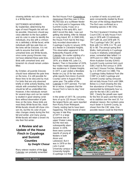<span id="page-16-0"></span>showing definite red color in the iris is a White-faced.

#### SEPTEMBER-NOVEMBER

By September, determining the ages of most Plegadis ibis will not be possible. Observers should pay close attention to the face pattern and iris color in order to identify the individuals. Any ibis with a crimson iris is definitely a White-faced, while individuals with two pale lines on the lores will be Glossies. It is not safe to assume that birds with unmarked lores are White-faceds, since some young Glossies may not have obtained these pale lines. Birds with unmarked lores and brownish iris should remain unidentified.

By October, all juvenile Glossies should have obtained the pale lines on the lores. It is still possible for these lines to be obscured by mud. For birds that are only observed briefly or while actively feeding, individuals with unmarked facial skin should be left as unidentified ibis. However, it the individuals remain for several days and can be carefully studied in good viewing conditions without observation of pale lines on the lores, these birds are most likely White-faced Ibis. Adult White-faceds should still show crimson iris, but the iris color of juveniles changes slowly during the first fall and winter, and many young White-faceds will retain a brown iris into their first winter.

## **A Review and an Update of the House Finch in Cuyahoga and Summit Counties by Dwight Chasar**

Many veteran readers of the Bird Calendar can probably remember the first House Finch (Carpodacus mexicanus) that they saw in Ohio. My first was at a sunflower feeder in my front yard in Sagamore Hills, Summit County. It was on a Saturday in the early 80's, but I didn't record the date. I was just getting into birding. After its release on Long Island, NY, in 1940 (Hill), the House Finch had its first regularly recorded observation in Cuyahoga County in January 1976, at a feeder in Cleveland Heights. This observation appeared in the Noteworthy Reports of the Calendar. (An earlier sighting of a banded male occurred in April, 1974, at a Waite Hill, Lake Co., feeder). Then in December of 1976, four males made appearances at two residences in Shaker Heights. In 1977, a pair visited a Westlake feeder on July 10 for two weeks, while reports from Akron (Summit County) came in August of the same year. The editor of the Calendar in 1977 penned, "For better or worse, it appears that the House Finch is here to stay." And so it did!

In the winter of 1977-78, concentrations of up to 125 House Finches, the largest flocks yet, were reported from Rocky River Metropark. Clearly, nesting had to have been happening. The first record of nest-

ing was in late May of 1977 in a large Sycamore tree at upper Shaker Lakes, but the nest was subsequently abandoned. In 1978, there were summer reports of young at feeders in both Akron and Lakewood. But it was in 1979 on the John Carroll University campus in University Heights (Cuyahoga Co) that

a number of nests occurred and were conveniently studied by Bruce McLean of the biology department. The finch was confirmed as a breeding species in NE Ohio.

The first Cleveland Christmas Bird Count (CBC) to tally House Finch was in 1976 with 13 individuals, 1977 with 16, and 1978 with 75. The Cuyahoga Falls CBC got its firsts with 3 in 1978, 6 in '79, and 82 in '80. The annual spring Bird Walks, held primarily in Cuyahoga County in relatively undeveloped areas, somewhat later tallied 1 in 1979 and 4 in 1980. The Greater Akron Audubon Society (GAAS) Summit County summer bird count (SBC) had its first census in 1978 and had 2 House Finches, followed by 2 in 1979 and 3 in 1980. The Cuyahoga Valley National Park (the CVNP is in both Cuyahoga and Summit County) spring censuses did not tally House Finch until 1984. Below is a chart showing the relative abundance of House Finches, represented by birds/party hour vs. year for the two CBCs and the SBC. Clearly the growth was rapid for the first 10 years and then tended to stabilize over the next 10. For whatever reason, the numbers grew much faster in Summit County, as shown from the CBC data. One possible reason could be that there

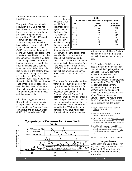are many more feeder counters in this CBC area.

The growth of the House Finch population in NE Ohio has not been, however, without incident. All three censuses also show that a precipitous drop in numbers occurred from 1995 to 1996 and continued at least into 1997. Summit County House Finches have still not recovered to the 1995 levels. In fact, even the spring CVNP censuses and the annual spring Bird Walks show drops in the same time period based on just the raw numbers of counted birds (see Table). Conjunctivitis, the House Finch eye disease, caused by the bacterium Mycoplasma gallisepticum, was without doubt the culprit. Bird watchers in the eastern United States began seeing finches with infected eyes in 1994. By November 1995, 18% of the feeder House Finches in Ohio had the disease (Dhondt). The disease can lead directly to death of the birds (Hochachka) while their inability to find food or avoid predators most certainly would assist.

It has been suggested that the House Finch has had a negative local population impact on the European House Sparrow Passer domesticus and on the American Goldfinch Carduelis tristis (Hill). I

also examined census data from the same CBCs and SBCs for both these birds against that of the House Finch. The goldfinch showed a general increase in population during the same period, while the House Sparrow showed

| Table 1.<br><b>House Finch Numbers from Spring Bird Counts</b> |                              |                              |  |  |  |  |  |
|----------------------------------------------------------------|------------------------------|------------------------------|--|--|--|--|--|
| Year                                                           | <b>CVNP</b><br><b>Census</b> | Audubon<br><b>Bird Walks</b> |  |  |  |  |  |
| 1993                                                           | na                           | 570                          |  |  |  |  |  |
| 1994                                                           | na                           | 877                          |  |  |  |  |  |
| 1995                                                           | 39                           | 662                          |  |  |  |  |  |
| 1996                                                           | 12                           | 423                          |  |  |  |  |  |
| 1997                                                           | 32                           | 383                          |  |  |  |  |  |
| 1998                                                           | 31                           | 339                          |  |  |  |  |  |
| 1999                                                           | 29                           | 364                          |  |  |  |  |  |
| 2000                                                           | 29                           | 404                          |  |  |  |  |  |

a continuous general decline that was already in place when the House Finch first arrived in NE Ohio. Those conclusions are in total agreement with those reported for a state-wide study in Indiana during 1982-89 (Hamilton) and are consistent with the breeding bird survey (BBS) data in Ohio for these two birds.

The House Finch is rarely found far from urban or suburban areas, having a fondness for feeders and for nesting around buildings (Hill). Its population development in Cuyahoga/Summit County fits this description well, having been found first in the populated areas, particularly around winter feeding stations, and then only later in undeveloped areas like the CVNP (vide supra). Ironically, if you have never seen House Finch nests, check out the

historic iron truss bridge at Station Road in the CVNP the next time you visit. How many nests can you find?

The Cleveland Bird Calendar was used to obtain the early dates for House Finch in Cuyahoga/Summit Counties. The CBC data were obtained from two web sites: www.birdsource.edu and http://www.mnt.edu/~shipman/z/cbc/ homepage.html. The Ohio BBS results were obtained from: http://www.mbr-pwrc.usgs.gov/ bbs/bbs.html. The annual Bird Walks data are filed in the Archives of the Cleveland Museum of Natural History. The results of the GAAS SBC and the CVNP censuses are archived with the author.

Dhondt, A.A. 1996. "Finch Disease Update." Birdscope, Vol 10, No. 2: 4.

Hamilton, T.R. and C.D. Wise. 1991. Indiana Audubon Quarterly. 69: 251-54.

Hill, G.E. 1993. "House Finch." The Birds of North America, No. 46 (A. Poole and F. Gill, Eds. The Academy of Natural Sciences, Philadelphia, PA.

Hochachka, W.M. and A.A. Dhondt. 2000. "Density-dependent decline of host abundance resulting from a new infectious disease." Proc. National Academy Science USA. 97: 5303- 5306.

Kricher, J.C. 1983. American Birds 37: 358-60.

#### **Congratulations**

After nearly two years of recovering from being run down by a car traveling at 70 mph, Bob Lane is <sub>100</sub> back reporting. His fortitude is applauded.

#### **Comparison of Censuses for House Finch Table 2.**



**55 Volume 96 Number 4**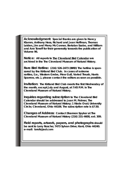**Acknowledgment: Special thanks are given to Nancy Klamm, Anthony Hess, Richard and Jean Hoffman, Thomas Leiden, Jim and Merry McConnor, Bertalan Szabo, and William and Ann Toneff for their generosity towards the publication of Volume 96.**

**Notice: All reports to The Cleveland Bird Calendar are archived in the The Cleveland Museum of Natural History.**

**Rare Bird Hotline: (216) 526-2473 (BIRD) The hotline is sponsored by the Kirtland Bird Club. In cases of extreme rarities, (i.e., Western Grebe, Mew Gull, Varied Thrush, Harris Sparrow, etc.), please contact the editors as soon as possible.** 

**Invitation: The Kirtland Bird Club meets the first Wednesday of the month, except July and August, at 7:45 P.M. in The Cleveland Museum of Natural History.**

**Inquiries regarding subscription to The Cleveland Bird Calendar should be addressed to Joan M. Palmer, The Cleveland Museum of Natural History; 1 Wade Oval; University Circle; Cleveland, Ohio 44106. The subscription rate is \$7.50.**

**Changes of Address: Contact Shannon Spyker at The Cleveland Museum of Natural History (216) 231-4600, ext. 309.**

**Field reports, artwork, papers, and photographs should be sent to Larry Rosche; 7473 Sylvan Drive; Kent, Ohio 44240. e-mail: lorofs@aol.com**